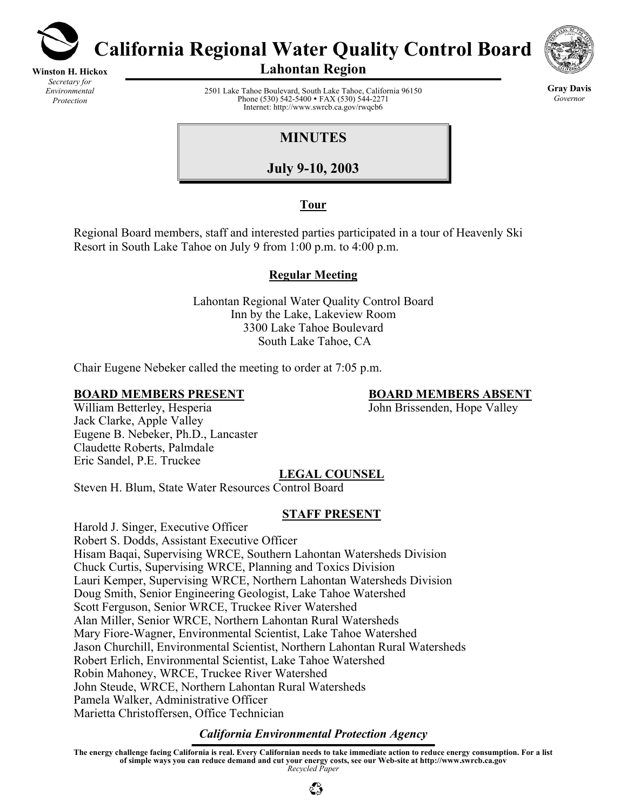

**Winston H. Hickox** *Secretary for Environmental Protection* 

**California Regional Water Quality Control Board** 



**Gray Davis** *Governor* 

**Lahontan Region** 

2501 Lake Tahoe Boulevard, South Lake Tahoe, California 96150 Phone (530) 542-5400 • FAX (530) 544-2271 Internet: http://www.swrcb.ca.gov/rwqcb6

**MINUTES** 

**July 9-10, 2003**

## **Tour**

Regional Board members, staff and interested parties participated in a tour of Heavenly Ski Resort in South Lake Tahoe on July 9 from 1:00 p.m. to 4:00 p.m.

## **Regular Meeting**

Lahontan Regional Water Quality Control Board Inn by the Lake, Lakeview Room 3300 Lake Tahoe Boulevard South Lake Tahoe, CA

Chair Eugene Nebeker called the meeting to order at 7:05 p.m.

John Brissenden, Hope Valley

**BOARD MEMBERS PRESENT**<br>
William Betterley, Hesperia<br> **BOARD MEMBERS ABSENT**<br>
John Brissenden, Hope Valley Jack Clarke, Apple Valley Eugene B. Nebeker, Ph.D., Lancaster Claudette Roberts, Palmdale Eric Sandel, P.E. Truckee

# **LEGAL COUNSEL**

Steven H. Blum, State Water Resources Control Board

## **STAFF PRESENT**

Harold J. Singer, Executive Officer Robert S. Dodds, Assistant Executive Officer Hisam Baqai, Supervising WRCE, Southern Lahontan Watersheds Division Chuck Curtis, Supervising WRCE, Planning and Toxics Division Lauri Kemper, Supervising WRCE, Northern Lahontan Watersheds Division Doug Smith, Senior Engineering Geologist, Lake Tahoe Watershed Scott Ferguson, Senior WRCE, Truckee River Watershed Alan Miller, Senior WRCE, Northern Lahontan Rural Watersheds Mary Fiore-Wagner, Environmental Scientist, Lake Tahoe Watershed Jason Churchill, Environmental Scientist, Northern Lahontan Rural Watersheds Robert Erlich, Environmental Scientist, Lake Tahoe Watershed Robin Mahoney, WRCE, Truckee River Watershed John Steude, WRCE, Northern Lahontan Rural Watersheds Pamela Walker, Administrative Officer Marietta Christoffersen, Office Technician

## *California Environmental Protection Agency*

**The energy challenge facing California is real. Every Californian needs to take immediate action to reduce energy consumption. For a list of simple ways you can reduce demand and cut your energy costs, see our Web-site at http://www.swrcb.ca.gov**  *Recycled Paper*

 $\mathbb{C}^{\infty}_{\mathcal{C}}$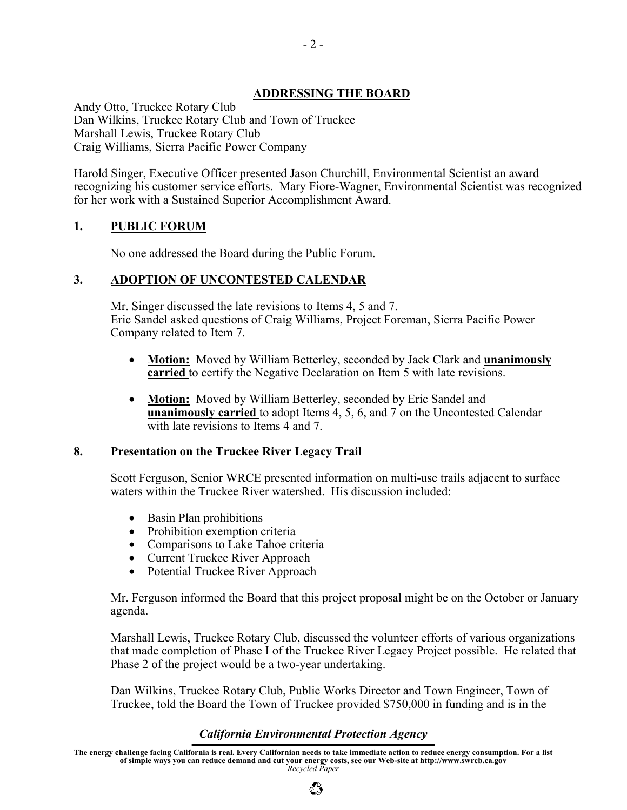### **ADDRESSING THE BOARD**

Andy Otto, Truckee Rotary Club Dan Wilkins, Truckee Rotary Club and Town of Truckee Marshall Lewis, Truckee Rotary Club Craig Williams, Sierra Pacific Power Company

Harold Singer, Executive Officer presented Jason Churchill, Environmental Scientist an award recognizing his customer service efforts. Mary Fiore-Wagner, Environmental Scientist was recognized for her work with a Sustained Superior Accomplishment Award.

## **1. PUBLIC FORUM**

No one addressed the Board during the Public Forum.

### **3. ADOPTION OF UNCONTESTED CALENDAR**

Mr. Singer discussed the late revisions to Items 4, 5 and 7. Eric Sandel asked questions of Craig Williams, Project Foreman, Sierra Pacific Power Company related to Item 7.

- **Motion:** Moved by William Betterley, seconded by Jack Clark and **unanimously carried** to certify the Negative Declaration on Item 5 with late revisions.
- **Motion:** Moved by William Betterley, seconded by Eric Sandel and **unanimously carried** to adopt Items 4, 5, 6, and 7 on the Uncontested Calendar with late revisions to Items 4 and 7.

#### **8. Presentation on the Truckee River Legacy Trail**

Scott Ferguson, Senior WRCE presented information on multi-use trails adjacent to surface waters within the Truckee River watershed. His discussion included:

- Basin Plan prohibitions
- Prohibition exemption criteria
- Comparisons to Lake Tahoe criteria
- Current Truckee River Approach
- Potential Truckee River Approach

Mr. Ferguson informed the Board that this project proposal might be on the October or January agenda.

Marshall Lewis, Truckee Rotary Club, discussed the volunteer efforts of various organizations that made completion of Phase I of the Truckee River Legacy Project possible. He related that Phase 2 of the project would be a two-year undertaking.

Dan Wilkins, Truckee Rotary Club, Public Works Director and Town Engineer, Town of Truckee, told the Board the Town of Truckee provided \$750,000 in funding and is in the

## *California Environmental Protection Agency*

**The energy challenge facing California is real. Every Californian needs to take immediate action to reduce energy consumption. For a list of simple ways you can reduce demand and cut your energy costs, see our Web-site at http://www.swrcb.ca.gov**  *Recycled Paper*

 $\mathbb{C}^{\infty}_{\mathcal{P}}$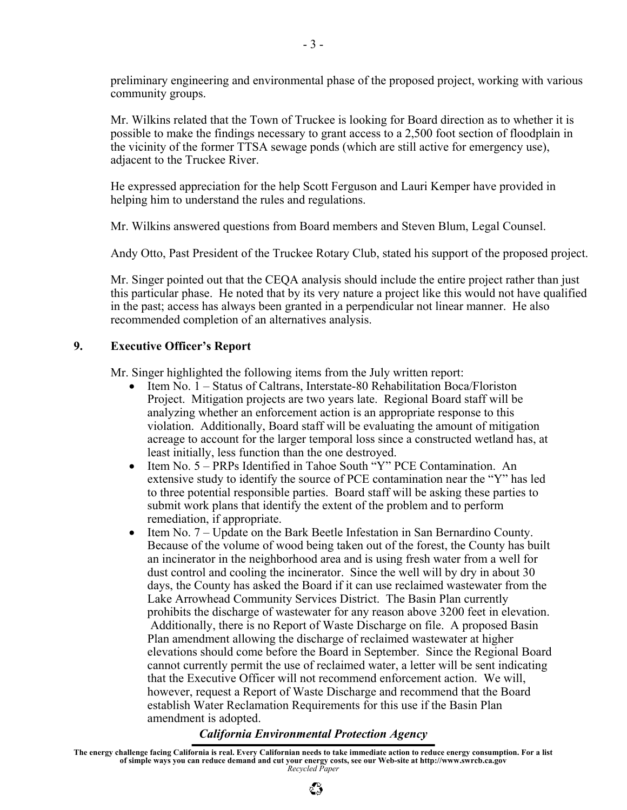preliminary engineering and environmental phase of the proposed project, working with various community groups.

Mr. Wilkins related that the Town of Truckee is looking for Board direction as to whether it is possible to make the findings necessary to grant access to a 2,500 foot section of floodplain in the vicinity of the former TTSA sewage ponds (which are still active for emergency use), adjacent to the Truckee River.

He expressed appreciation for the help Scott Ferguson and Lauri Kemper have provided in helping him to understand the rules and regulations.

Mr. Wilkins answered questions from Board members and Steven Blum, Legal Counsel.

Andy Otto, Past President of the Truckee Rotary Club, stated his support of the proposed project.

Mr. Singer pointed out that the CEQA analysis should include the entire project rather than just this particular phase. He noted that by its very nature a project like this would not have qualified in the past; access has always been granted in a perpendicular not linear manner. He also recommended completion of an alternatives analysis.

### **9. Executive Officer's Report**

Mr. Singer highlighted the following items from the July written report:

- Item No. 1 Status of Caltrans, Interstate-80 Rehabilitation Boca/Floriston Project. Mitigation projects are two years late. Regional Board staff will be analyzing whether an enforcement action is an appropriate response to this violation. Additionally, Board staff will be evaluating the amount of mitigation acreage to account for the larger temporal loss since a constructed wetland has, at least initially, less function than the one destroyed.
- Item No. 5 PRPs Identified in Tahoe South "Y" PCE Contamination. An extensive study to identify the source of PCE contamination near the "Y" has led to three potential responsible parties. Board staff will be asking these parties to submit work plans that identify the extent of the problem and to perform remediation, if appropriate.
- Item No. 7 Update on the Bark Beetle Infestation in San Bernardino County. Because of the volume of wood being taken out of the forest, the County has built an incinerator in the neighborhood area and is using fresh water from a well for dust control and cooling the incinerator. Since the well will by dry in about 30 days, the County has asked the Board if it can use reclaimed wastewater from the Lake Arrowhead Community Services District. The Basin Plan currently prohibits the discharge of wastewater for any reason above 3200 feet in elevation. Additionally, there is no Report of Waste Discharge on file. A proposed Basin Plan amendment allowing the discharge of reclaimed wastewater at higher elevations should come before the Board in September. Since the Regional Board cannot currently permit the use of reclaimed water, a letter will be sent indicating that the Executive Officer will not recommend enforcement action. We will, however, request a Report of Waste Discharge and recommend that the Board establish Water Reclamation Requirements for this use if the Basin Plan amendment is adopted.

## *California Environmental Protection Agency*

**The energy challenge facing California is real. Every Californian needs to take immediate action to reduce energy consumption. For a list of simple ways you can reduce demand and cut your energy costs, see our Web-site at http://www.swrcb.ca.gov**  *Recycled Paper*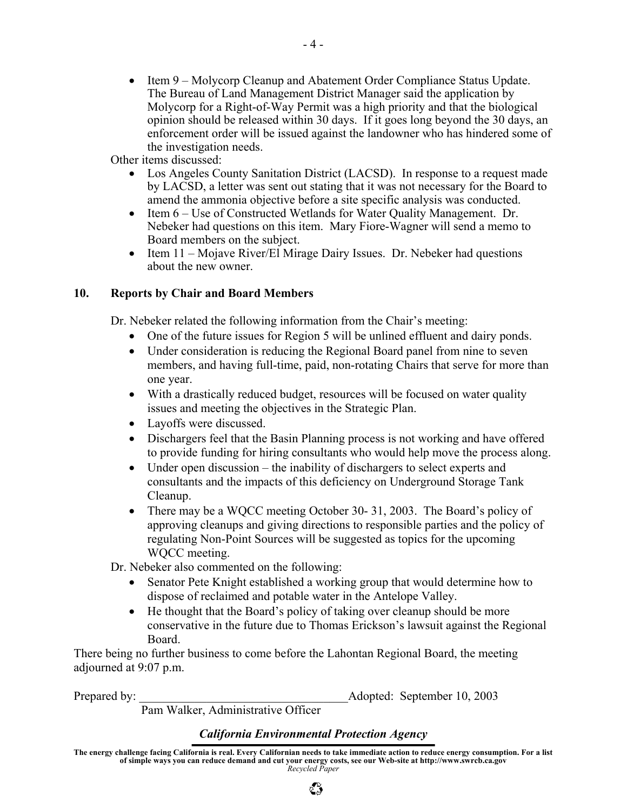• Item 9 – Molycorp Cleanup and Abatement Order Compliance Status Update. The Bureau of Land Management District Manager said the application by Molycorp for a Right-of-Way Permit was a high priority and that the biological opinion should be released within 30 days. If it goes long beyond the 30 days, an enforcement order will be issued against the landowner who has hindered some of the investigation needs.

Other items discussed:

- Los Angeles County Sanitation District (LACSD). In response to a request made by LACSD, a letter was sent out stating that it was not necessary for the Board to amend the ammonia objective before a site specific analysis was conducted.
- Item 6 Use of Constructed Wetlands for Water Quality Management. Dr. Nebeker had questions on this item. Mary Fiore-Wagner will send a memo to Board members on the subject.
- Item 11 Mojave River/El Mirage Dairy Issues. Dr. Nebeker had questions about the new owner.

## **10. Reports by Chair and Board Members**

Dr. Nebeker related the following information from the Chair's meeting:

- One of the future issues for Region 5 will be unlined effluent and dairy ponds.
- Under consideration is reducing the Regional Board panel from nine to seven members, and having full-time, paid, non-rotating Chairs that serve for more than one year.
- With a drastically reduced budget, resources will be focused on water quality issues and meeting the objectives in the Strategic Plan.
- Layoffs were discussed.
- Dischargers feel that the Basin Planning process is not working and have offered to provide funding for hiring consultants who would help move the process along.
- Under open discussion the inability of dischargers to select experts and consultants and the impacts of this deficiency on Underground Storage Tank Cleanup.
- There may be a WOCC meeting October 30- 31, 2003. The Board's policy of approving cleanups and giving directions to responsible parties and the policy of regulating Non-Point Sources will be suggested as topics for the upcoming WQCC meeting.

Dr. Nebeker also commented on the following:

- Senator Pete Knight established a working group that would determine how to dispose of reclaimed and potable water in the Antelope Valley.
- He thought that the Board's policy of taking over cleanup should be more conservative in the future due to Thomas Erickson's lawsuit against the Regional Board.

There being no further business to come before the Lahontan Regional Board, the meeting adjourned at 9:07 p.m.

Prepared by:  $\Delta$  Adopted: September 10, 2003

Pam Walker, Administrative Officer

#### *California Environmental Protection Agency*

**The energy challenge facing California is real. Every Californian needs to take immediate action to reduce energy consumption. For a list of simple ways you can reduce demand and cut your energy costs, see our Web-site at http://www.swrcb.ca.gov**  *Recycled Paper*

 $\mathbb{C}^{\infty}_{\mathcal{P}}$